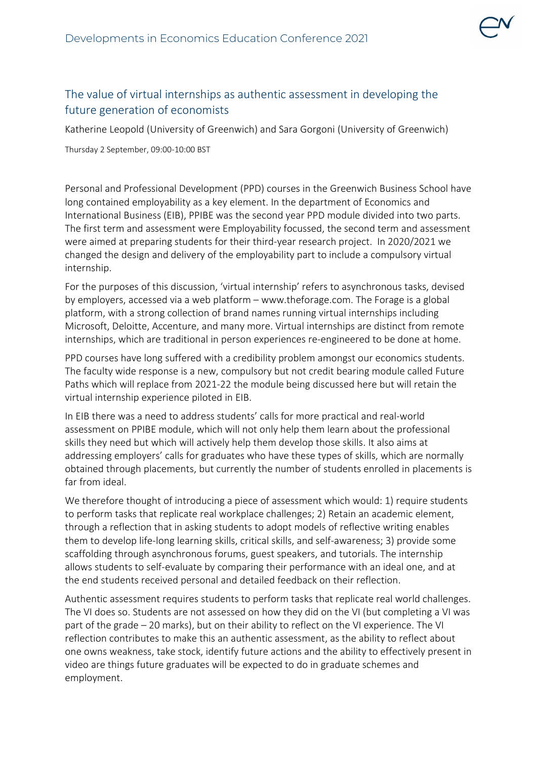

## The value of virtual internships as authentic assessment in developing the future generation of economists

Katherine Leopold (University of Greenwich) and Sara Gorgoni (University of Greenwich)

Thursday 2 September, 09:00-10:00 BST

Personal and Professional Development (PPD) courses in the Greenwich Business School have long contained employability as a key element. In the department of Economics and International Business (EIB), PPIBE was the second year PPD module divided into two parts. The first term and assessment were Employability focussed, the second term and assessment were aimed at preparing students for their third-year research project. In 2020/2021 we changed the design and delivery of the employability part to include a compulsory virtual internship.

For the purposes of this discussion, 'virtual internship' refers to asynchronous tasks, devised by employers, accessed via a web platform – www.theforage.com. The Forage is a global platform, with a strong collection of brand names running virtual internships including Microsoft, Deloitte, Accenture, and many more. Virtual internships are distinct from remote internships, which are traditional in person experiences re-engineered to be done at home.

PPD courses have long suffered with a credibility problem amongst our economics students. The faculty wide response is a new, compulsory but not credit bearing module called Future Paths which will replace from 2021-22 the module being discussed here but will retain the virtual internship experience piloted in EIB.

In EIB there was a need to address students' calls for more practical and real-world assessment on PPIBE module, which will not only help them learn about the professional skills they need but which will actively help them develop those skills. It also aims at addressing employers' calls for graduates who have these types of skills, which are normally obtained through placements, but currently the number of students enrolled in placements is far from ideal.

We therefore thought of introducing a piece of assessment which would: 1) require students to perform tasks that replicate real workplace challenges; 2) Retain an academic element, through a reflection that in asking students to adopt models of reflective writing enables them to develop life-long learning skills, critical skills, and self-awareness; 3) provide some scaffolding through asynchronous forums, guest speakers, and tutorials. The internship allows students to self-evaluate by comparing their performance with an ideal one, and at the end students received personal and detailed feedback on their reflection.

Authentic assessment requires students to perform tasks that replicate real world challenges. The VI does so. Students are not assessed on how they did on the VI (but completing a VI was part of the grade – 20 marks), but on their ability to reflect on the VI experience. The VI reflection contributes to make this an authentic assessment, as the ability to reflect about one owns weakness, take stock, identify future actions and the ability to effectively present in video are things future graduates will be expected to do in graduate schemes and employment.